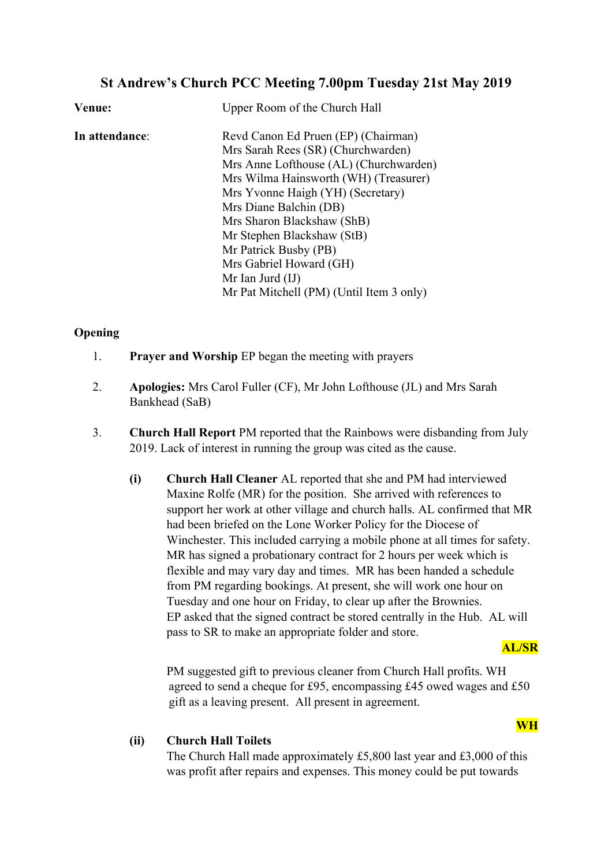# **St Andrew's Church PCC Meeting 7.00pm Tuesday 21st May 2019**

| Venue:         | Upper Room of the Church Hall            |
|----------------|------------------------------------------|
| In attendance: | Revd Canon Ed Pruen (EP) (Chairman)      |
|                | Mrs Sarah Rees (SR) (Churchwarden)       |
|                | Mrs Anne Lofthouse (AL) (Churchwarden)   |
|                | Mrs Wilma Hainsworth (WH) (Treasurer)    |
|                | Mrs Yvonne Haigh (YH) (Secretary)        |
|                | Mrs Diane Balchin (DB)                   |
|                | Mrs Sharon Blackshaw (ShB)               |
|                | Mr Stephen Blackshaw (StB)               |
|                | Mr Patrick Busby (PB)                    |
|                | Mrs Gabriel Howard (GH)                  |
|                | Mr Ian Jurd $(II)$                       |
|                | Mr Pat Mitchell (PM) (Until Item 3 only) |

# **Opening**

- 1. **Prayer and Worship** EP began the meeting with prayers
- 2. **Apologies:** Mrs Carol Fuller (CF), Mr John Lofthouse (JL) and Mrs Sarah Bankhead (SaB)
- 3. **Church Hall Report** PM reported that the Rainbows were disbanding from July 2019. Lack of interest in running the group was cited as the cause.
	- **(i) Church Hall Cleaner** AL reported that she and PM had interviewed Maxine Rolfe (MR) for the position. She arrived with references to support her work at other village and church halls. AL confirmed that MR had been briefed on the Lone Worker Policy for the Diocese of Winchester. This included carrying a mobile phone at all times for safety. MR has signed a probationary contract for 2 hours per week which is flexible and may vary day and times. MR has been handed a schedule from PM regarding bookings. At present, she will work one hour on Tuesday and one hour on Friday, to clear up after the Brownies. EP asked that the signed contract be stored centrally in the Hub. AL will pass to SR to make an appropriate folder and store.

# **AL/SR**

**WH**

PM suggested gift to previous cleaner from Church Hall profits. WH agreed to send a cheque for £95, encompassing £45 owed wages and £50 gift as a leaving present. All present in agreement.

# **(ii) Church Hall Toilets**

The Church Hall made approximately £5,800 last year and £3,000 of this was profit after repairs and expenses. This money could be put towards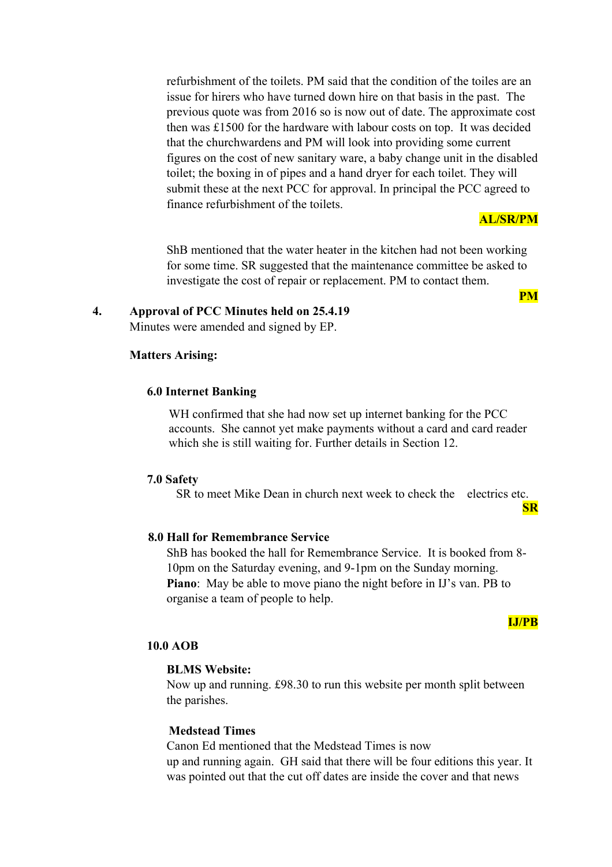refurbishment of the toilets. PM said that the condition of the toiles are an issue for hirers who have turned down hire on that basis in the past. The previous quote was from 2016 so is now out of date. The approximate cost then was £1500 for the hardware with labour costs on top. It was decided that the churchwardens and PM will look into providing some current figures on the cost of new sanitary ware, a baby change unit in the disabled toilet; the boxing in of pipes and a hand dryer for each toilet. They will submit these at the next PCC for approval. In principal the PCC agreed to finance refurbishment of the toilets.

#### **AL/SR/PM**

**PM**

ShB mentioned that the water heater in the kitchen had not been working for some time. SR suggested that the maintenance committee be asked to investigate the cost of repair or replacement. PM to contact them.

**4. Approval of PCC Minutes held on 25.4.19**

Minutes were amended and signed by EP.

## **Matters Arising:**

#### **6.0 Internet Banking**

WH confirmed that she had now set up internet banking for the PCC accounts. She cannot yet make payments without a card and card reader which she is still waiting for. Further details in Section 12.

#### **7.0 Safety**

SR to meet Mike Dean in church next week to check the electrics etc.

#### **SR**

# **8.0 Hall for Remembrance Service**

ShB has booked the hall for Remembrance Service. It is booked from 8- 10pm on the Saturday evening, and 9-1pm on the Sunday morning. **Piano**: May be able to move piano the night before in IJ's van. PB to organise a team of people to help.

### **IJ/PB**

#### **10.0 AOB**

#### **BLMS Website:**

Now up and running. £98.30 to run this website per month split between the parishes.

# **Medstead Times**

Canon Ed mentioned that the Medstead Times is now up and running again. GH said that there will be four editions this year. It was pointed out that the cut off dates are inside the cover and that news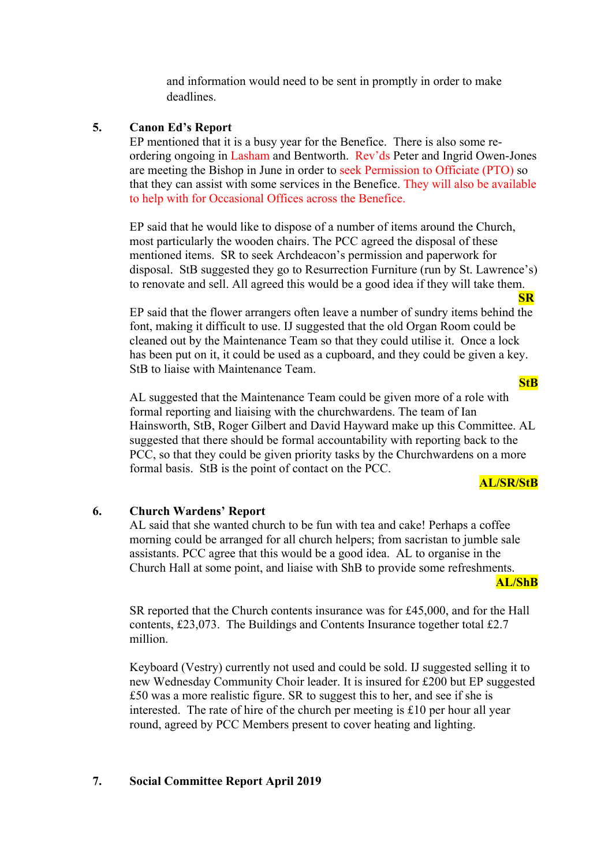and information would need to be sent in promptly in order to make deadlines.

#### **5. Canon Ed's Report**

EP mentioned that it is a busy year for the Benefice. There is also some reordering ongoing in Lasham and Bentworth. Rev'ds Peter and Ingrid Owen-Jones are meeting the Bishop in June in order to seek Permission to Officiate (PTO) so that they can assist with some services in the Benefice. They will also be available to help with for Occasional Offices across the Benefice.

EP said that he would like to dispose of a number of items around the Church, most particularly the wooden chairs. The PCC agreed the disposal of these mentioned items. SR to seek Archdeacon's permission and paperwork for disposal. StB suggested they go to Resurrection Furniture (run by St. Lawrence's) to renovate and sell. All agreed this would be a good idea if they will take them.

EP said that the flower arrangers often leave a number of sundry items behind the font, making it difficult to use. IJ suggested that the old Organ Room could be cleaned out by the Maintenance Team so that they could utilise it. Once a lock has been put on it, it could be used as a cupboard, and they could be given a key. StB to liaise with Maintenance Team.

AL suggested that the Maintenance Team could be given more of a role with formal reporting and liaising with the churchwardens. The team of Ian Hainsworth, StB, Roger Gilbert and David Hayward make up this Committee. AL suggested that there should be formal accountability with reporting back to the PCC, so that they could be given priority tasks by the Churchwardens on a more formal basis. StB is the point of contact on the PCC.

#### **AL/SR/StB**

**AL/ShB**

**SR**

**StB**

#### **6. Church Wardens' Report**

AL said that she wanted church to be fun with tea and cake! Perhaps a coffee morning could be arranged for all church helpers; from sacristan to jumble sale assistants. PCC agree that this would be a good idea. AL to organise in the Church Hall at some point, and liaise with ShB to provide some refreshments.

SR reported that the Church contents insurance was for £45,000, and for the Hall contents, £23,073. The Buildings and Contents Insurance together total £2.7 million.

Keyboard (Vestry) currently not used and could be sold. IJ suggested selling it to new Wednesday Community Choir leader. It is insured for £200 but EP suggested £50 was a more realistic figure. SR to suggest this to her, and see if she is interested. The rate of hire of the church per meeting is £10 per hour all year round, agreed by PCC Members present to cover heating and lighting.

#### **7. Social Committee Report April 2019**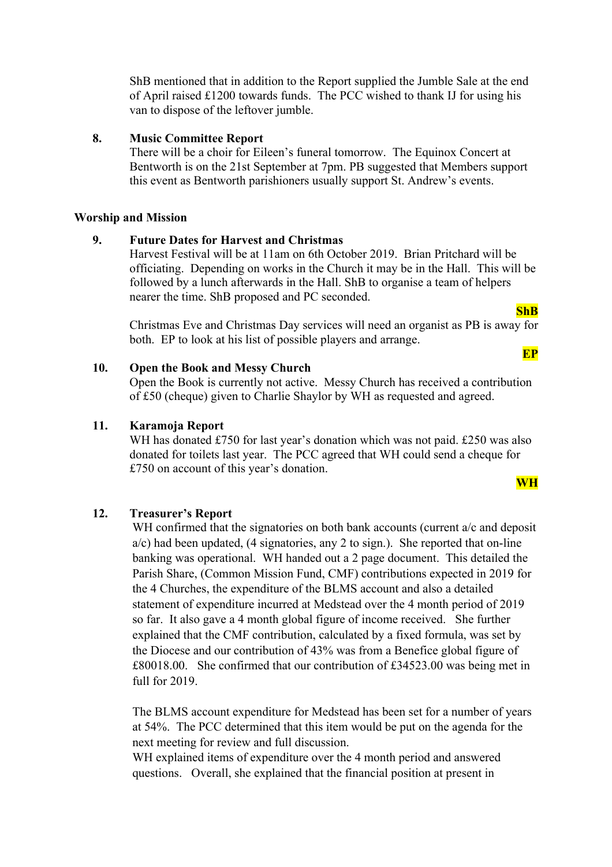ShB mentioned that in addition to the Report supplied the Jumble Sale at the end of April raised £1200 towards funds. The PCC wished to thank IJ for using his van to dispose of the leftover jumble.

#### **8. Music Committee Report**

There will be a choir for Eileen's funeral tomorrow. The Equinox Concert at Bentworth is on the 21st September at 7pm. PB suggested that Members support this event as Bentworth parishioners usually support St. Andrew's events.

#### **Worship and Mission**

#### **9. Future Dates for Harvest and Christmas**

Harvest Festival will be at 11am on 6th October 2019. Brian Pritchard will be officiating. Depending on works in the Church it may be in the Hall. This will be followed by a lunch afterwards in the Hall. ShB to organise a team of helpers nearer the time. ShB proposed and PC seconded.

#### **ShB**

**EP**

Christmas Eve and Christmas Day services will need an organist as PB is away for both. EP to look at his list of possible players and arrange.

### **10. Open the Book and Messy Church**

Open the Book is currently not active. Messy Church has received a contribution of £50 (cheque) given to Charlie Shaylor by WH as requested and agreed.

#### **11. Karamoja Report**

WH has donated £750 for last year's donation which was not paid. £250 was also donated for toilets last year. The PCC agreed that WH could send a cheque for £750 on account of this year's donation.

#### **WH**

# **12. Treasurer's Report**

WH confirmed that the signatories on both bank accounts (current a/c and deposit  $a/c$ ) had been updated, (4 signatories, any 2 to sign.). She reported that on-line banking was operational. WH handed out a 2 page document. This detailed the Parish Share, (Common Mission Fund, CMF) contributions expected in 2019 for the 4 Churches, the expenditure of the BLMS account and also a detailed statement of expenditure incurred at Medstead over the 4 month period of 2019 so far. It also gave a 4 month global figure of income received. She further explained that the CMF contribution, calculated by a fixed formula, was set by the Diocese and our contribution of 43% was from a Benefice global figure of £80018.00. She confirmed that our contribution of £34523.00 was being met in full for 2019.

The BLMS account expenditure for Medstead has been set for a number of years at 54%. The PCC determined that this item would be put on the agenda for the next meeting for review and full discussion.

WH explained items of expenditure over the 4 month period and answered questions. Overall, she explained that the financial position at present in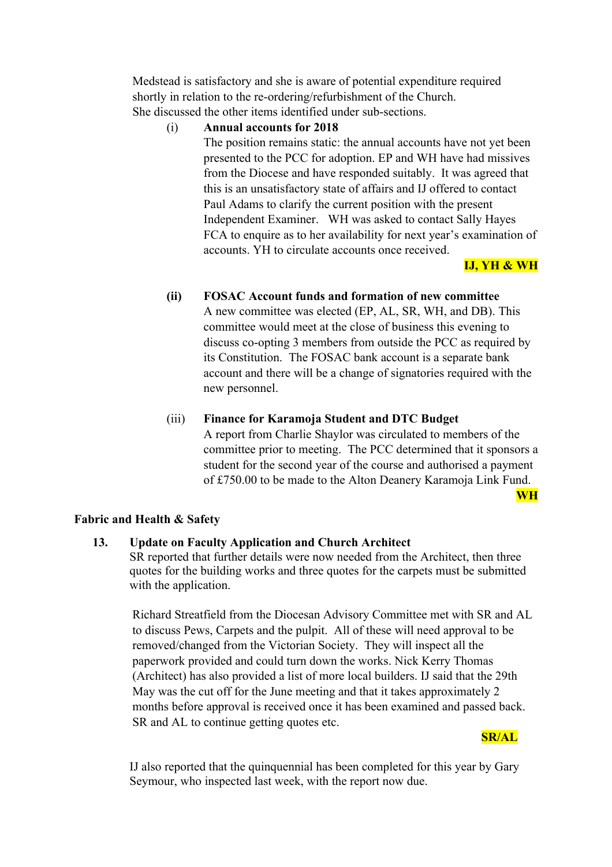Medstead is satisfactory and she is aware of potential expenditure required shortly in relation to the re-ordering/refurbishment of the Church. She discussed the other items identified under sub-sections.

# (i) **Annual accounts for 2018**

The position remains static: the annual accounts have not yet been presented to the PCC for adoption. EP and WH have had missives from the Diocese and have responded suitably. It was agreed that this is an unsatisfactory state of affairs and IJ offered to contact Paul Adams to clarify the current position with the present Independent Examiner. WH was asked to contact Sally Hayes FCA to enquire as to her availability for next year's examination of accounts. YH to circulate accounts once received.

# **IJ, YH & WH**

# **(ii) FOSAC Account funds and formation of new committee**

A new committee was elected (EP, AL, SR, WH, and DB). This committee would meet at the close of business this evening to discuss co-opting 3 members from outside the PCC as required by its Constitution. The FOSAC bank account is a separate bank account and there will be a change of signatories required with the new personnel.

### (iii) **Finance for Karamoja Student and DTC Budget**

A report from Charlie Shaylor was circulated to members of the committee prior to meeting. The PCC determined that it sponsors a student for the second year of the course and authorised a payment of £750.00 to be made to the Alton Deanery Karamoja Link Fund.

**WH**

# **Fabric and Health & Safety**

### **13. Update on Faculty Application and Church Architect**

SR reported that further details were now needed from the Architect, then three quotes for the building works and three quotes for the carpets must be submitted with the application.

Richard Streatfield from the Diocesan Advisory Committee met with SR and AL to discuss Pews, Carpets and the pulpit. All of these will need approval to be removed/changed from the Victorian Society. They will inspect all the paperwork provided and could turn down the works. Nick Kerry Thomas (Architect) has also provided a list of more local builders. IJ said that the 29th May was the cut off for the June meeting and that it takes approximately 2 months before approval is received once it has been examined and passed back. SR and AL to continue getting quotes etc.



IJ also reported that the quinquennial has been completed for this year by Gary Seymour, who inspected last week, with the report now due.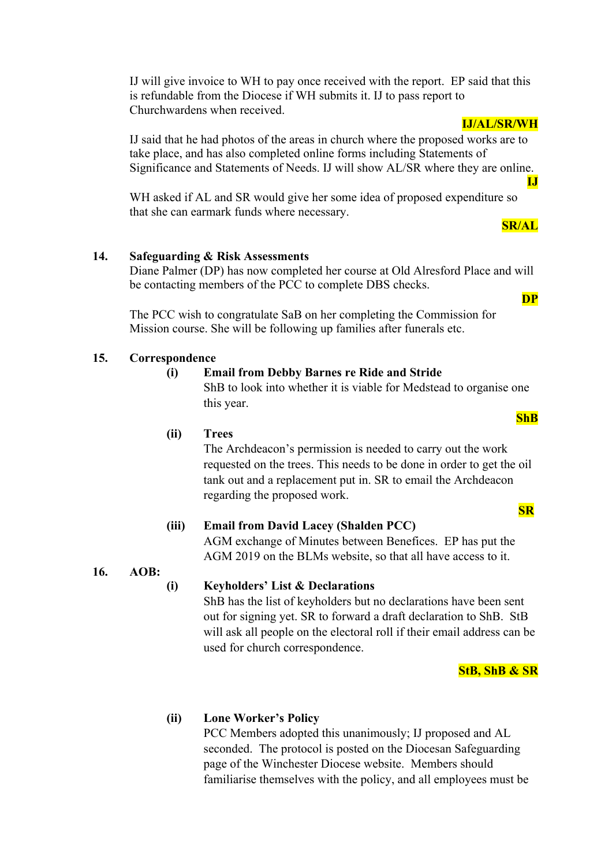IJ will give invoice to WH to pay once received with the report. EP said that this is refundable from the Diocese if WH submits it. IJ to pass report to Churchwardens when received.

IJ said that he had photos of the areas in church where the proposed works are to take place, and has also completed online forms including Statements of Significance and Statements of Needs. IJ will show AL/SR where they are online.

WH asked if AL and SR would give her some idea of proposed expenditure so that she can earmark funds where necessary.

# **SR/AL**

**IJ**

**DP**

**IJ/AL/SR/WH**

# **14. Safeguarding & Risk Assessments**

Diane Palmer (DP) has now completed her course at Old Alresford Place and will be contacting members of the PCC to complete DBS checks.

The PCC wish to congratulate SaB on her completing the Commission for Mission course. She will be following up families after funerals etc.

# **15. Correspondence**

# **(i) Email from Debby Barnes re Ride and Stride**

ShB to look into whether it is viable for Medstead to organise one this year.

**(ii) Trees**

The Archdeacon's permission is needed to carry out the work requested on the trees. This needs to be done in order to get the oil tank out and a replacement put in. SR to email the Archdeacon regarding the proposed work.

# **(iii) Email from David Lacey (Shalden PCC)** AGM exchange of Minutes between Benefices. EP has put the

AGM 2019 on the BLMs website, so that all have access to it.

**16. AOB:** 

# **(i) Keyholders' List & Declarations**

ShB has the list of keyholders but no declarations have been sent out for signing yet. SR to forward a draft declaration to ShB. StB will ask all people on the electoral roll if their email address can be used for church correspondence.

**StB, ShB & SR**

# **(ii) Lone Worker's Policy**

PCC Members adopted this unanimously; IJ proposed and AL seconded. The protocol is posted on the Diocesan Safeguarding page of the Winchester Diocese website. Members should familiarise themselves with the policy, and all employees must be

# **ShB**

**SR**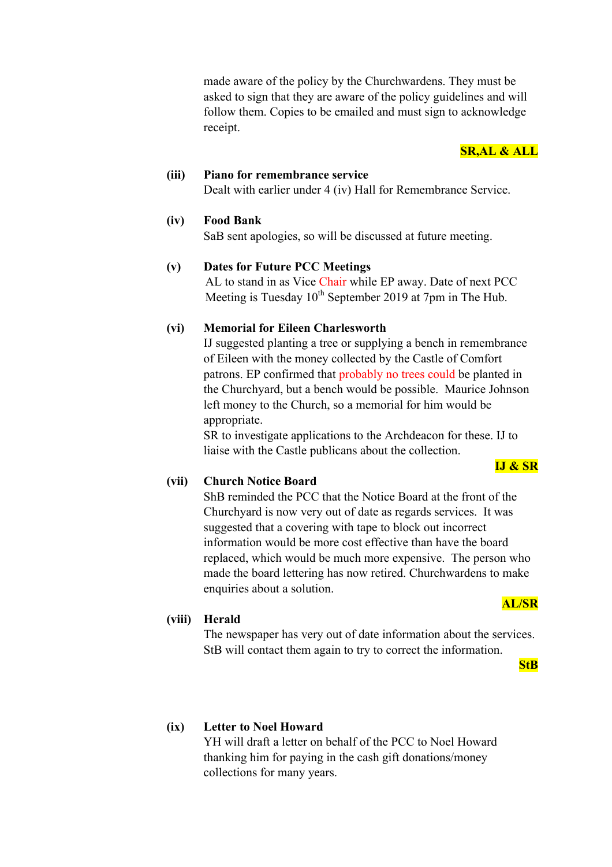made aware of the policy by the Churchwardens. They must be asked to sign that they are aware of the policy guidelines and will follow them. Copies to be emailed and must sign to acknowledge receipt.

# **SR,AL & ALL**

**(iii) Piano for remembrance service** Dealt with earlier under 4 (iv) Hall for Remembrance Service.

# **(iv) Food Bank**

SaB sent apologies, so will be discussed at future meeting.

# **(v) Dates for Future PCC Meetings**

AL to stand in as Vice Chair while EP away. Date of next PCC Meeting is Tuesday  $10^{th}$  September 2019 at 7pm in The Hub.

# **(vi) Memorial for Eileen Charlesworth**

IJ suggested planting a tree or supplying a bench in remembrance of Eileen with the money collected by the Castle of Comfort patrons. EP confirmed that probably no trees could be planted in the Churchyard, but a bench would be possible. Maurice Johnson left money to the Church, so a memorial for him would be appropriate.

SR to investigate applications to the Archdeacon for these. IJ to liaise with the Castle publicans about the collection.

# **(vii) Church Notice Board**

ShB reminded the PCC that the Notice Board at the front of the Churchyard is now very out of date as regards services. It was suggested that a covering with tape to block out incorrect information would be more cost effective than have the board replaced, which would be much more expensive. The person who made the board lettering has now retired. Churchwardens to make enquiries about a solution.

#### **AL/SR**

**IJ & SR**

# **(viii) Herald**

The newspaper has very out of date information about the services. StB will contact them again to try to correct the information.

**StB**

# **(ix) Letter to Noel Howard**

YH will draft a letter on behalf of the PCC to Noel Howard thanking him for paying in the cash gift donations/money collections for many years.